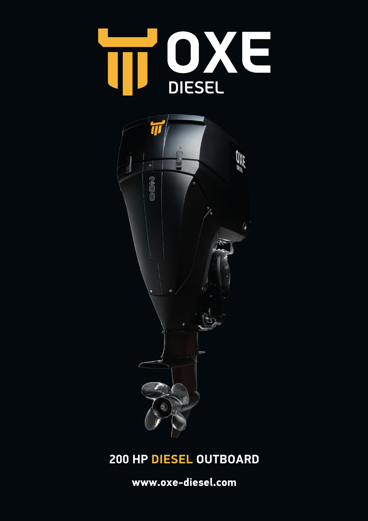



# **200 HP DIESEL OUTBOARD**

**www.oxe-diesel.com**